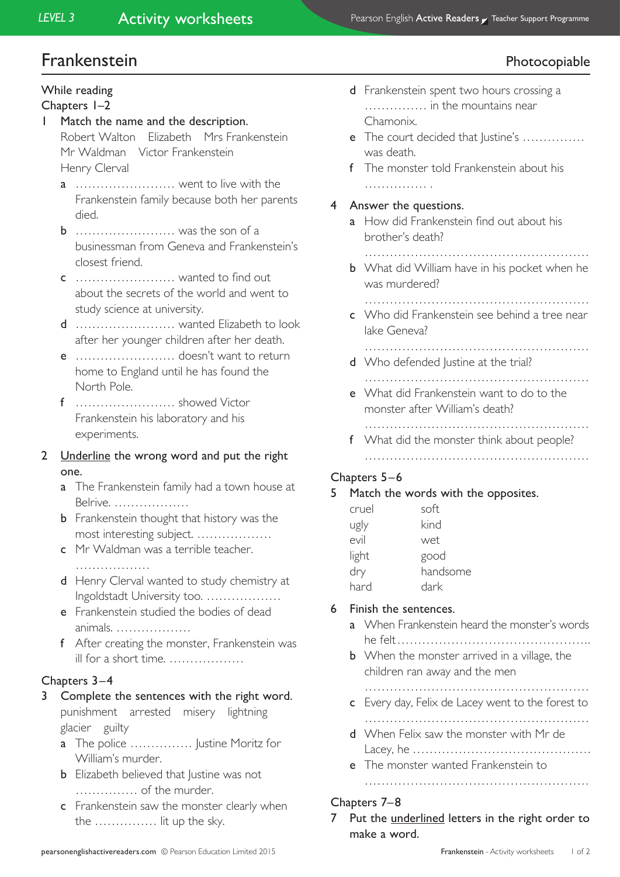# Frankenstein **Photocopiable**

# While reading

#### Chapters 1–2

- 1 Match the name and the description. Robert Walton Elizabeth Mrs Frankenstein Mr Waldman Victor Frankenstein
	- Henry Clerval
	- a …………………… went to live with the Frankenstein family because both her parents died.
	- **b** ………………………… was the son of a businessman from Geneva and Frankenstein's closest friend.
	- c …………………… wanted to find out about the secrets of the world and went to study science at university.
	- d …………………… wanted Elizabeth to look after her younger children after her death.
	- e …………………… doesn't want to return home to England until he has found the North Pole.
	- f …………………… showed Victor Frankenstein his laboratory and his experiments.

### 2 Underline the wrong word and put the right one.

- a The Frankenstein family had a town house at Belrive. ………………
- **b** Frankenstein thought that history was the most interesting subject. ………………
- c Mr Waldman was a terrible teacher.
	- ………………………
- d Henry Clerval wanted to study chemistry at Ingoldstadt University too. ………………
- e Frankenstein studied the bodies of dead animals. ………………
- f After creating the monster, Frankenstein was ill for a short time. ………………

#### Chapters 3–4

- 3 Complete the sentences with the right word. punishment arrested misery lightning glacier guilty
	- **a** The police …………… Justine Moritz for William's murder.
	- **b** Elizabeth believed that Justine was not …………… of the murder.
	- **c** Frankenstein saw the monster clearly when the …………… lit up the sky.
- d Frankenstein spent two hours crossing a …………… in the mountains near Chamonix.
- e The court decided that Justine's …………… was death.
- f The monster told Frankenstein about his …………… .
- 4 Answer the questions.
	- a How did Frankenstein find out about his brother's death?
		- ………………………………………………
	- **b** What did William have in his pocket when he was murdered?
		- ………………………………………………
	- c Who did Frankenstein see behind a tree near lake Geneva?
	- ……………………………………………… d Who defended lustine at the trial?
	- ………………………………………………
	- e What did Frankenstein want to do to the monster after William's death?
	- ……………………………………………… f What did the monster think about people?
		- ………………………………………………

# Chapters 5–6

#### 5 Match the words with the opposites.

| cruel | soft     |
|-------|----------|
| ugly  | kind     |
| evil  | wet      |
| light | good     |
| dry   | handsome |
| hard  | dark     |

## 6 Finish the sentences.

- a When Frankenstein heard the monster's words he felt………………………………………..
- **b** When the monster arrived in a village, the children ran away and the men

………………………………………………

- c Every day, Felix de Lacey went to the forest to
	- ………………………………………………
- d When Felix saw the monster with Mr de Lacey, he …………………………………….
- e The monster wanted Frankenstein to

# ………………………………………………

#### Chapters 7–8

7 Put the underlined letters in the right order to make a word.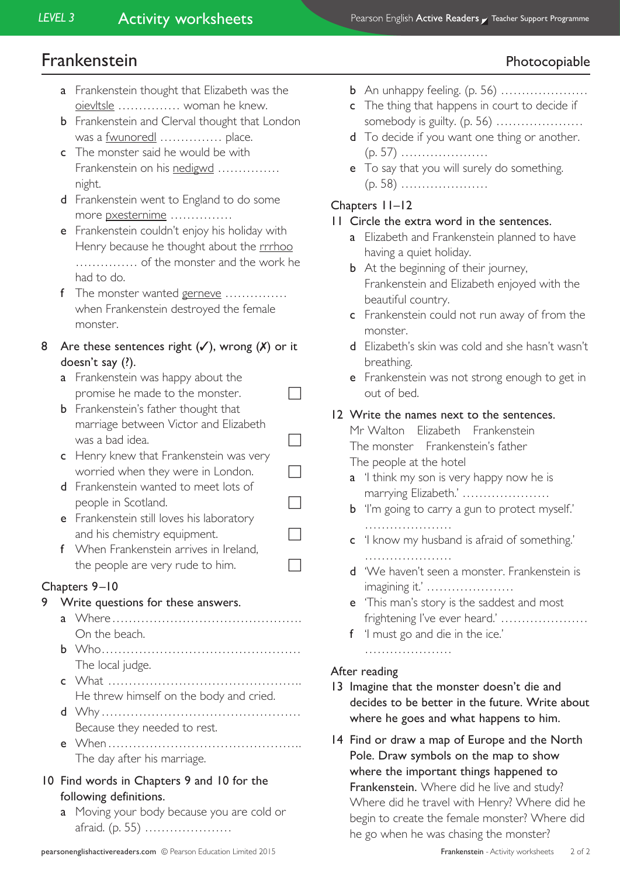# Frankenstein **Photocopiable**

- a Frankenstein thought that Elizabeth was the oievltsle …………… woman he knew.
- **b** Frankenstein and Clerval thought that London was a <u>fwunored</u> …………… place.
- c The monster said he would be with Frankenstein on his nedigwd …………… night.
- d Frankenstein went to England to do some more pxesternime ……………
- e Frankenstein couldn't enjoy his holiday with Henry because he thought about the rrrhoo …………… of the monster and the work he had to do.
- f The monster wanted gerneve ............... when Frankenstein destroyed the female monster.
- 8 Are these sentences right  $(V)$ , wrong  $(X)$  or it doesn't say (?).
	- a Frankenstein was happy about the promise he made to the monster.  $\Box$
	- **b** Frankenstein's father thought that marriage between Victor and Elizabeth was a bad idea.  $\Box$
	- c Henry knew that Frankenstein was very worried when they were in London.  $\Box$
	- d Frankenstein wanted to meet lots of people in Scotland.
	- e Frankenstein still loves his laboratory and his chemistry equipment.
	- f When Frankenstein arrives in Ireland, the people are very rude to him.  $\Box$

## Chapters 9–10

- 9 Write questions for these answers.
	- a Where………………………………………. On the beach.
	- b Who………………………………………… The local judge.
	- c What ……………………………………….. He threw himself on the body and cried.
	- d Why………………………………………… Because they needed to rest.
	- e When……………………………………….. The day after his marriage.
- 10 Find words in Chapters 9 and 10 for the following definitions.
	- a Moving your body because you are cold or afraid. (p. 55) …………………
- **b** An unhappy feeling. (p. 56) ……………………
- c The thing that happens in court to decide if somebody is guilty. (p. 56) …………………
- d To decide if you want one thing or another. (p. 57) …………………
- **e** To say that you will surely do something. (p. 58) …………………

## Chapters 11–12

### 11 Circle the extra word in the sentences.

- a Elizabeth and Frankenstein planned to have having a quiet holiday.
- **b** At the beginning of their journey, Frankenstein and Elizabeth enjoyed with the beautiful country.
- c Frankenstein could not run away of from the monster.
- d Elizabeth's skin was cold and she hasn't wasn't breathing.
- e Frankenstein was not strong enough to get in out of bed.

### 12 Write the names next to the sentences.

Mr Walton Elizabeth Frankenstein The monster Frankenstein's father The people at the hotel

- a 'I think my son is very happy now he is marrying Elizabeth.' …………………
- **b** 'I'm going to carry a gun to protect myself.' …………………………
- c 'I know my husband is afraid of something.'
- d 'We haven't seen a monster. Frankenstein is imagining it.' …………………
- e 'This man's story is the saddest and most frightening I've ever heard.' …………………
- f 'I must go and die in the ice.'

…………………

## After reading

- 13 Imagine that the monster doesn't die and decides to be better in the future. Write about where he goes and what happens to him.
- 14 Find or draw a map of Europe and the North Pole. Draw symbols on the map to show where the important things happened to Frankenstein. Where did he live and study? Where did he travel with Henry? Where did he begin to create the female monster? Where did he go when he was chasing the monster?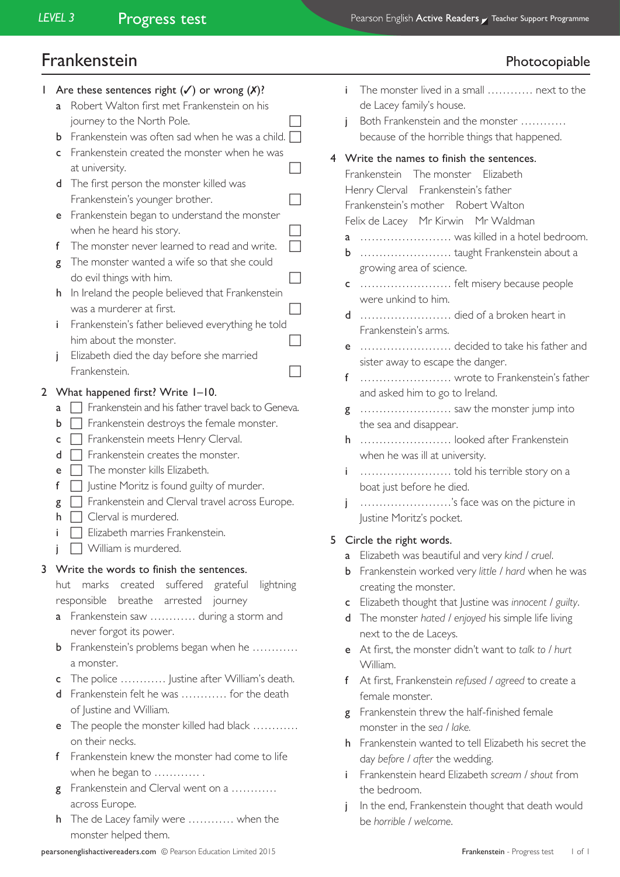# Frankenstein

|   |   | Photocopiable                                                                      |
|---|---|------------------------------------------------------------------------------------|
|   | i | The monster lived in a small  next to the<br>de Lacey family's house.              |
|   | j | Both Frankenstein and the monster<br>because of the horrible things that happened. |
| 4 |   | Write the names to finish the sentences.                                           |
|   |   | Frankenstein The monster Elizabeth                                                 |
|   |   | Henry Clerval Frankenstein's father                                                |
|   |   | Frankenstein's mother Robert Walton                                                |
|   |   | Felix de Lacey Mr Kirwin Mr Waldman                                                |
|   | a | was killed in a hotel bedroom.                                                     |
|   | b | taught Frankenstein about a                                                        |
|   |   | growing area of science.                                                           |
|   | c | felt misery because people<br>were unkind to him.                                  |
|   | d | died of a broken heart in                                                          |
|   |   | Frankenstein's arms.                                                               |
|   | е | decided to take his father and                                                     |
|   |   | sister away to escape the danger.                                                  |
|   | f | wrote to Frankenstein's father                                                     |
|   |   | and asked him to go to Ireland.                                                    |
|   | g | saw the monster jump into                                                          |
|   |   | the sea and disappear.                                                             |
|   | h | looked after Frankenstein<br>when he was ill at university.                        |
|   | i |                                                                                    |
|   |   | boat just before he died.                                                          |
|   | j | 's face was on the picture in                                                      |
|   |   | Justine Moritz's pocket.                                                           |
| 5 |   | Circle the right words.                                                            |
|   | a | Elizabeth was beautiful and very kind / cruel.                                     |
|   | b | Frankenstein worked very little / hard when he was                                 |
|   |   | creating the monster.                                                              |
|   | c | Elizabeth thought that Justine was innocent / guilty.                              |
|   | d | The monster hated / enjoyed his simple life living                                 |
|   |   | next to the de Laceys.                                                             |
|   | е | At first, the monster didn't want to talk to / hurt                                |
|   | f | William.<br>At first, Frankenstein refused / agreed to create a                    |
|   |   | female monster.                                                                    |
|   | g | Frankenstein threw the half-finished female                                        |
|   |   | monster in the sea / lake.                                                         |
|   | h | Frankenstein wanted to tell Elizabeth his secret the                               |
|   |   | day before / after the wedding.                                                    |
|   | i | Frankenstein heard Elizabeth scream / shout from                                   |
|   |   | the bedroom.                                                                       |
|   |   | In the end, Frankenstein thought that death would                                  |

1 Are these sentences right  $(\checkmark)$  or wrong  $(\checkmark)$ ? a Robert Walton first met Frankenstein on his journey to the North Pole. **b** Frankenstein was often sad when he was a child.  $\Box$ c Frankenstein created the monster when he was at university. d The first person the monster killed was Frankenstein's younger brother. e Frankenstein began to understand the monster when he heard his story. f The monster never learned to read and write. **g** The monster wanted a wife so that she could do evil things with him. h In Ireland the people believed that Frankenstein was a murderer at first.  $\Box$ i Frankenstein's father believed everything he told him about the monster.  $\Box$ j Elizabeth died the day before she married Frankenstein. 2 What happened first? Write 1–10.  $a \Box$  Frankenstein and his father travel back to Geneva.  $\mathbf{b} \Box$  Frankenstein destroys the female monster.  $c \Box$  Frankenstein meets Henry Clerval.  $d \prod$  Frankenstein creates the monster.  $e \Box$  The monster kills Elizabeth.  $f \Box$  Justine Moritz is found guilty of murder.  $g \Box$  Frankenstein and Clerval travel across Europe.  $h \Box$  Clerval is murdered. Elizabeth marries Frankenstein. William is murdered. 3 Write the words to finish the sentences. hut marks created suffered grateful lightning responsible breathe arrested journey **a** Frankenstein saw ………… during a storm and never forgot its power. **b** Frankenstein's problems began when he ………… a monster. c The police ………… Justine after William's death. d Frankenstein felt he was ………… for the death of Justine and William. e The people the monster killed had black ………… on their necks. f Frankenstein knew the monster had come to life when he began to ............. g Frankenstein and Clerval went on a ........... across Europe. h The de Lacey family were ………… when the monster helped them.

be *horrible / welcome*.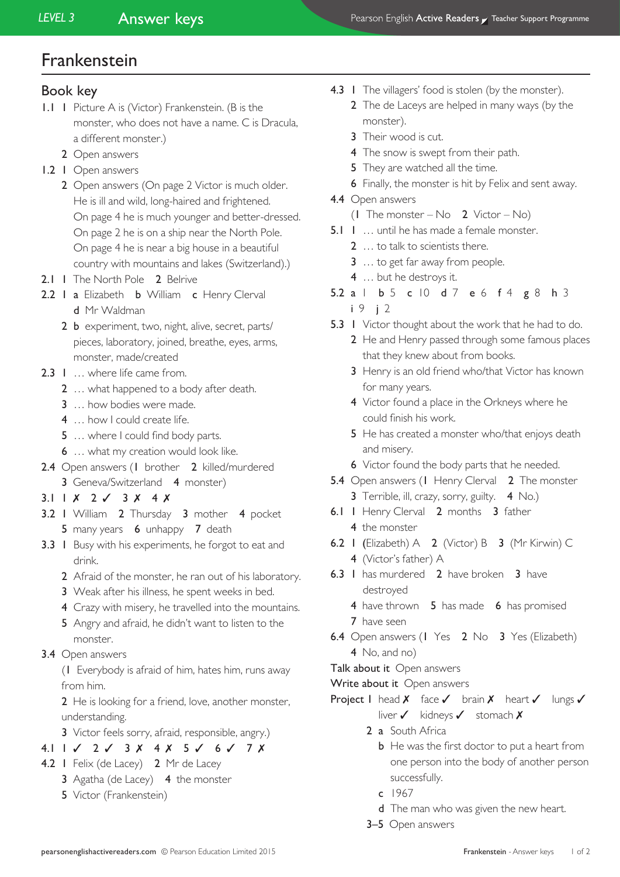# Frankenstein

## Book key

- 1.1 1 Picture A is (Victor) Frankenstein. (B is the monster, who does not have a name. C is Dracula, a different monster.)
	- 2 Open answers
- 1.2 1 Open answers
	- 2 Open answers (On page 2 Victor is much older. He is ill and wild, long-haired and frightened. On page 4 he is much younger and better-dressed. On page 2 he is on a ship near the North Pole. On page 4 he is near a big house in a beautiful country with mountains and lakes (Switzerland).)
- 2.1 1 The North Pole 2 Belrive
- 2.2 I a Elizabeth **b** William **c** Henry Clerval d Mr Waldman
	- 2 b experiment, two, night, alive, secret, parts/ pieces, laboratory, joined, breathe, eyes, arms, monster, made/created
- 2.3 I ... where life came from.
	- 2 … what happened to a body after death.
	- 3 … how bodies were made.
	- 4 ... how I could create life.
	- 5 ... where I could find body parts.
	- 6 … what my creation would look like.
- 2.4 Open answers (1 brother 2 killed/murdered 3 Geneva/Switzerland 4 monster)
- 3.1  $1 \times 2 \times 3 \times 4 \times$
- 3.2 1 William 2 Thursday 3 mother 4 pocket 5 many years 6 unhappy 7 death
- 3.3 I Busy with his experiments, he forgot to eat and drink.
	- 2 Afraid of the monster, he ran out of his laboratory.
	- 3 Weak after his illness, he spent weeks in bed.
	- 4 Crazy with misery, he travelled into the mountains.
	- 5 Angry and afraid, he didn't want to listen to the monster.
- 3.4 Open answers

(1 Everybody is afraid of him, hates him, runs away from him.

2 He is looking for a friend, love, another monster, understanding.

- 3 Victor feels sorry, afraid, responsible, angry.)
- 4.1 1 ✓ 2 ✓ 3 ✗ 4 ✗ 5 ✓ 6 ✓ 7 ✗
- 4.2 I Felix (de Lacey) 2 Mr de Lacey 3 Agatha (de Lacey) 4 the monster
	-
	- 5 Victor (Frankenstein)
- 4.3 I The villagers' food is stolen (by the monster).
	- 2 The de Laceys are helped in many ways (by the monster).
	- 3 Their wood is cut.
	- 4 The snow is swept from their path.
	- 5 They are watched all the time.
	- 6 Finally, the monster is hit by Felix and sent away.
- 4.4 Open answers
	- (1 The monster No  $2$  Victor No)
- 5.1 1 ... until he has made a female monster.
	- 2 … to talk to scientists there.
	- 3 … to get far away from people.
	- 4 ... but he destroys it.
- 5.2 a 1 b 5 c 10 d 7 e 6 f 4 g 8 h 3 i 9 j 2
- 5.3 I Victor thought about the work that he had to do.
	- 2 He and Henry passed through some famous places that they knew about from books.
	- 3 Henry is an old friend who/that Victor has known for many years.
	- 4 Victor found a place in the Orkneys where he could finish his work.
	- 5 He has created a monster who/that enjoys death and misery.
	- 6 Victor found the body parts that he needed.
- 5.4 Open answers (1 Henry Clerval 2 The monster 3 Terrible, ill. crazy, sorry, guilty. 4 No.)
- 6.1 1 Henry Clerval 2 months 3 father 4 the monster
- 6.2 1 (Elizabeth) A 2 (Victor) B 3 (Mr Kirwin) C 4 (Victor's father) A
- 6.3 I has murdered 2 have broken 3 have destroyed
	- 4 have thrown 5 has made 6 has promised 7 have seen
- 6.4 Open answers (1 Yes 2 No 3 Yes (Elizabeth) 4 No, and no)
- Talk about it Open answers
- Write about it Open answers
- Project I head X face V brain X heart V lungs V liver ✓ kidneys ✓ stomach ✗
	- 2 a South Africa
		- **b** He was the first doctor to put a heart from one person into the body of another person successfully.
		- c 1967
		- d The man who was given the new heart.
	- 3–5 Open answers